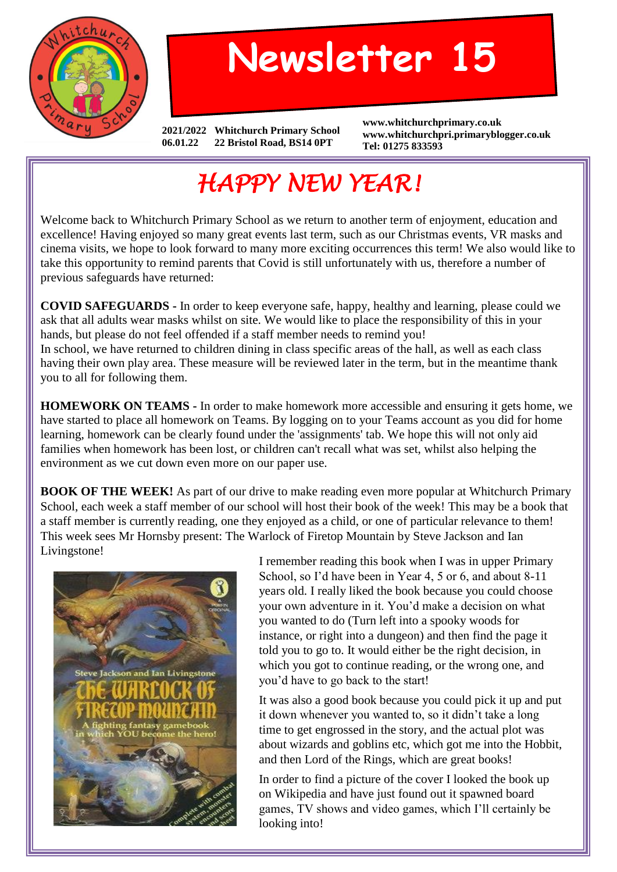

## **Newsletter 15**

**2021/2022 Whitchurch Primary School 06.01.22 22 Bristol Road, BS14 0PT**

**www.whitchurchprimary.co.uk www.whitchurchpri.primaryblogger.co.uk Tel: 01275 833593**

## *HAPPY NEW YEAR!*

Welcome back to Whitchurch Primary School as we return to another term of enjoyment, education and excellence! Having enjoyed so many great events last term, such as our Christmas events, VR masks and cinema visits, we hope to look forward to many more exciting occurrences this term! We also would like to take this opportunity to remind parents that Covid is still unfortunately with us, therefore a number of previous safeguards have returned:

**COVID SAFEGUARDS -** In order to keep everyone safe, happy, healthy and learning, please could we ask that all adults wear masks whilst on site. We would like to place the responsibility of this in your hands, but please do not feel offended if a staff member needs to remind you! In school, we have returned to children dining in class specific areas of the hall, as well as each class having their own play area. These measure will be reviewed later in the term, but in the meantime thank you to all for following them.

**HOMEWORK ON TEAMS -** In order to make homework more accessible and ensuring it gets home, we have started to place all homework on Teams. By logging on to your Teams account as you did for home learning, homework can be clearly found under the 'assignments' tab. We hope this will not only aid families when homework has been lost, or children can't recall what was set, whilst also helping the environment as we cut down even more on our paper use.

**BOOK OF THE WEEK!** As part of our drive to make reading even more popular at Whitchurch Primary School, each week a staff member of our school will host their book of the week! This may be a book that a staff member is currently reading, one they enjoyed as a child, or one of particular relevance to them! This week sees Mr Hornsby present: The Warlock of Firetop Mountain by Steve Jackson and Ian Livingstone!



I remember reading this book when I was in upper Primary School, so I'd have been in Year 4, 5 or 6, and about 8-11 years old. I really liked the book because you could choose your own adventure in it. You'd make a decision on what you wanted to do (Turn left into a spooky woods for instance, or right into a dungeon) and then find the page it told you to go to. It would either be the right decision, in which you got to continue reading, or the wrong one, and you'd have to go back to the start!

It was also a good book because you could pick it up and put it down whenever you wanted to, so it didn't take a long time to get engrossed in the story, and the actual plot was about wizards and goblins etc, which got me into the Hobbit, and then Lord of the Rings, which are great books!

In order to find a picture of the cover I looked the book up on Wikipedia and have just found out it spawned board games, TV shows and video games, which I'll certainly be looking into!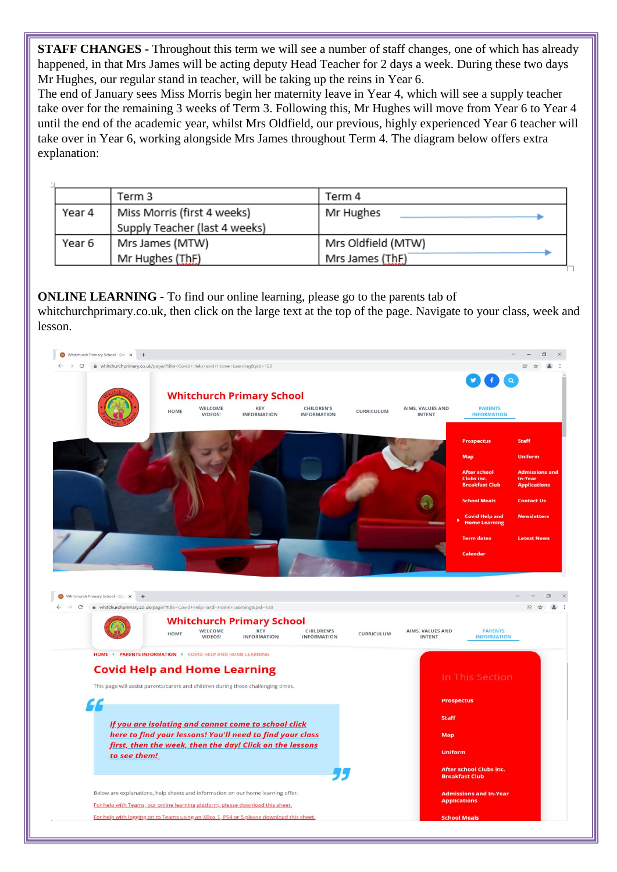**STAFF CHANGES -** Throughout this term we will see a number of staff changes, one of which has already happened, in that Mrs James will be acting deputy Head Teacher for 2 days a week. During these two days Mr Hughes, our regular stand in teacher, will be taking up the reins in Year 6.

The end of January sees Miss Morris begin her maternity leave in Year 4, which will see a supply teacher take over for the remaining 3 weeks of Term 3. Following this, Mr Hughes will move from Year 6 to Year 4 until the end of the academic year, whilst Mrs Oldfield, our previous, highly experienced Year 6 teacher will take over in Year 6, working alongside Mrs James throughout Term 4. The diagram below offers extra explanation:

|        | Term 3                        | Term 4             |
|--------|-------------------------------|--------------------|
| Year 4 | Miss Morris (first 4 weeks)   | Mr Hughes          |
|        | Supply Teacher (last 4 weeks) |                    |
| Year 6 | Mrs James (MTW)               | Mrs Oldfield (MTW) |
|        | Mr Hughes (ThF)               | Mrs James (ThF)    |

**ONLINE LEARNING -** To find our online learning, please go to the parents tab of whitchurchprimary.co.uk, then click on the large text at the top of the page. Navigate to your class, week and lesson.